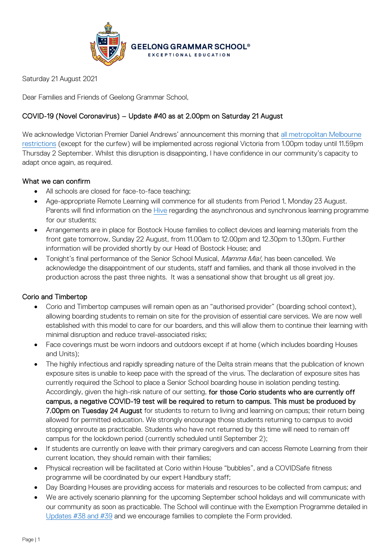

Saturday 21 August 2021

Dear Families and Friends of Geelong Grammar School,

# COVID-19 (Novel Coronavirus) – Update #40 as at 2.00pm on Saturday 21 August

We acknowledge Victorian Premier Daniel Andrews' announcement this morning that all metropolitan Melbourne [restrictions](https://www.premier.vic.gov.au/sites/default/files/2021-08/210821%20-%20Table%20of%20Restrictions.pdf) (except for the curfew) will be implemented across regional Victoria from 1.00pm today until 11.59pm Thursday 2 September. Whilst this disruption is disappointing, I have confidence in our community's capacity to adapt once again, as required.

# What we can confirm

- All schools are closed for face-to-face teaching;
- Age-appropriate Remote Learning will commence for all students from Period 1, Monday 23 August. Parents will find information on the *Hive regarding the asynchronous and synchronous learning programme* for our students;
- Arrangements are in place for Bostock House families to collect devices and learning materials from the front gate tomorrow, Sunday 22 August, from 11.00am to 12.00pm and 12.30pm to 1.30pm. Further information will be provided shortly by our Head of Bostock House; and
- Tonight's final performance of the Senior School Musical, *Mamma Mia!*, has been cancelled. We acknowledge the disappointment of our students, staff and families, and thank all those involved in the production across the past three nights. It was a sensational show that brought us all great joy.

# Corio and Timbertop

- Corio and Timbertop campuses will remain open as an "authorised provider" (boarding school context), allowing boarding students to remain on site for the provision of essential care services. We are now well established with this model to care for our boarders, and this will allow them to continue their learning with minimal disruption and reduce travel-associated risks;
- Face coverings must be worn indoors and outdoors except if at home (which includes boarding Houses and Units);
- The highly infectious and rapidly spreading nature of the Delta strain means that the publication of known exposure sites is unable to keep pace with the spread of the virus. The declaration of exposure sites has currently required the School to place a Senior School boarding house in isolation pending testing. Accordingly, given the high-risk nature of our setting, for those Corio students who are currently off campus, a negative COVID-19 test will be required to return to campus. This must be produced by 7.00pm on Tuesday 24 August for students to return to living and learning on campus; their return being allowed for permitted education. We strongly encourage those students returning to campus to avoid stopping enroute as practicable. Students who have not returned by this time will need to remain off campus for the lockdown period (currently scheduled until September 2);
- If students are currently on leave with their primary caregivers and can access Remote Learning from their current location, they should remain with their families;
- Physical recreation will be facilitated at Corio within House "bubbles", and a COVIDSafe fitness programme will be coordinated by our expert Handbury staff;
- Day Boarding Houses are providing access for materials and resources to be collected from campus; and
- We are actively scenario planning for the upcoming September school holidays and will communicate with our community as soon as practicable. The School will continue with the Exemption Programme detailed in [Updates #38 and #39](https://www.ggs.vic.edu.au/school/our-school/leadership-and-governance/recent-statements) and we encourage families to complete the Form provided.